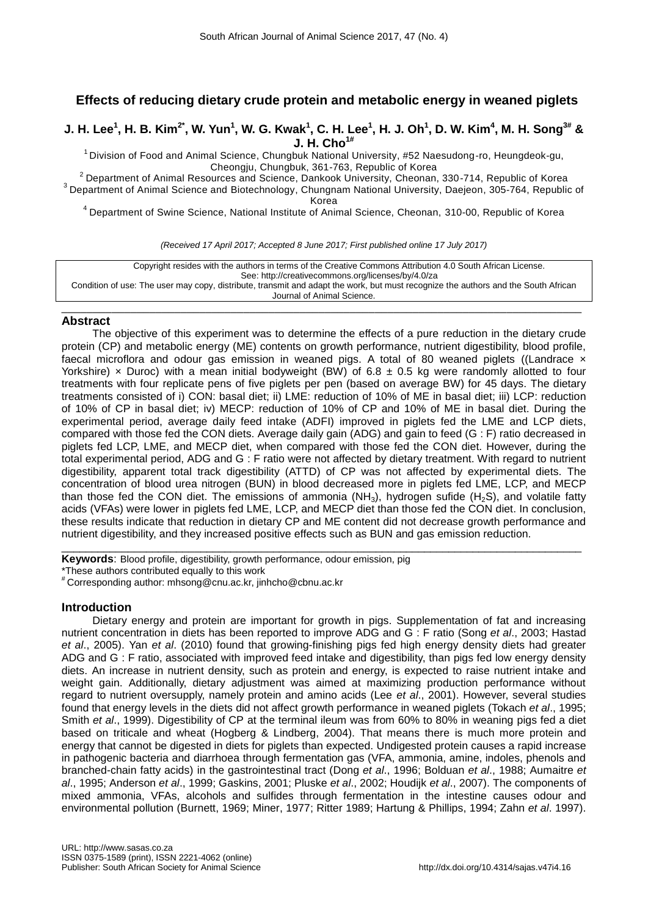# **Effects of reducing dietary crude protein and metabolic energy in weaned piglets**

J. H. Lee $^1$ , H. B. Kim $^{2^\star}$ , W. Yun $^1$ , W. G. Kwak $^1$ , C. H. Lee $^1$ , H. J. Oh $^1$ , D. W. Kim $^4$ , M. H. Song $^{3^\#}$  & **J. H. Cho1#**

 $1$  Division of Food and Animal Science, Chungbuk National University, #52 Naesudong-ro, Heungdeok-gu, Cheongju, Chungbuk, 361-763, Republic of Korea

 $2$  Department of Animal Resources and Science, Dankook University, Cheonan, 330-714, Republic of Korea <sup>3</sup> Department of Animal Science and Biotechnology, Chungnam National University, Daejeon, 305-764, Republic of

Korea

<sup>4</sup> Department of Swine Science, National Institute of Animal Science, Cheonan, 310-00, Republic of Korea

*(Received 17 April 2017; Accepted 8 June 2017; First published online 17 July 2017)*

| Copyright resides with the authors in terms of the Creative Commons Attribution 4.0 South African License.                         |
|------------------------------------------------------------------------------------------------------------------------------------|
| See: http://creativecommons.org/licenses/by/4.0/za                                                                                 |
| Condition of use: The user may copy, distribute, transmit and adapt the work, but must recognize the authors and the South African |
| Journal of Animal Science.                                                                                                         |

## \_\_\_\_\_\_\_\_\_\_\_\_\_\_\_\_\_\_\_\_\_\_\_\_\_\_\_\_\_\_\_\_\_\_\_\_\_\_\_\_\_\_\_\_\_\_\_\_\_\_\_\_\_\_\_\_\_\_\_\_\_\_\_\_\_\_\_\_\_\_\_\_\_\_\_\_\_\_\_\_\_\_\_ **Abstract**

The objective of this experiment was to determine the effects of a pure reduction in the dietary crude protein (CP) and metabolic energy (ME) contents on growth performance, nutrient digestibility, blood profile, faecal microflora and odour gas emission in weaned pigs. A total of 80 weaned piglets ((Landrace  $\times$ Yorkshire) x Duroc) with a mean initial bodyweight (BW) of  $6.8 \pm 0.5$  kg were randomly allotted to four treatments with four replicate pens of five piglets per pen (based on average BW) for 45 days. The dietary treatments consisted of i) CON: basal diet; ii) LME: reduction of 10% of ME in basal diet; iii) LCP: reduction of 10% of CP in basal diet; iv) MECP: reduction of 10% of CP and 10% of ME in basal diet. During the experimental period, average daily feed intake (ADFI) improved in piglets fed the LME and LCP diets, compared with those fed the CON diets. Average daily gain (ADG) and gain to feed (G : F) ratio decreased in piglets fed LCP, LME, and MECP diet, when compared with those fed the CON diet. However, during the total experimental period, ADG and G : F ratio were not affected by dietary treatment. With regard to nutrient digestibility, apparent total track digestibility (ATTD) of CP was not affected by experimental diets. The concentration of blood urea nitrogen (BUN) in blood decreased more in piglets fed LME, LCP, and MECP than those fed the CON diet. The emissions of ammonia (NH<sub>3</sub>), hydrogen sufide (H<sub>2</sub>S), and volatile fatty acids (VFAs) were lower in piglets fed LME, LCP, and MECP diet than those fed the CON diet. In conclusion, these results indicate that reduction in dietary CP and ME content did not decrease growth performance and nutrient digestibility, and they increased positive effects such as BUN and gas emission reduction.

\_\_\_\_\_\_\_\_\_\_\_\_\_\_\_\_\_\_\_\_\_\_\_\_\_\_\_\_\_\_\_\_\_\_\_\_\_\_\_\_\_\_\_\_\_\_\_\_\_\_\_\_\_\_\_\_\_\_\_\_\_\_\_\_\_\_\_\_\_\_\_\_\_\_\_\_\_\_\_\_\_\_\_\_\_\_

**Keywords**: Blood profile, digestibility, growth performance, odour emission, pig \*These authors contributed equally to this work

# Corresponding author: [mhsong@cnu.ac.kr,](mailto:mhsong@cnu.ac.kr) jinhcho@cbnu.ac.kr

# **Introduction**

Dietary energy and protein are important for growth in pigs. Supplementation of fat and increasing nutrient concentration in diets has been reported to improve ADG and G : F ratio (Song *et al*., 2003; Hastad *et al*., 2005). Yan *et al*. (2010) found that growing-finishing pigs fed high energy density diets had greater ADG and G : F ratio, associated with improved feed intake and digestibility, than pigs fed low energy density diets. An increase in nutrient density, such as protein and energy, is expected to raise nutrient intake and weight gain. Additionally, dietary adjustment was aimed at maximizing production performance without regard to nutrient oversupply, namely protein and amino acids (Lee *et al*., 2001). However, several studies found that energy levels in the diets did not affect growth performance in weaned piglets (Tokach *et al*., 1995; Smith *et al*., 1999). Digestibility of CP at the terminal ileum was from 60% to 80% in weaning pigs fed a diet based on triticale and wheat (Hogberg & Lindberg, 2004). That means there is much more protein and energy that cannot be digested in diets for piglets than expected. Undigested protein causes a rapid increase in pathogenic bacteria and diarrhoea through fermentation gas (VFA, ammonia, amine, indoles, phenols and branched-chain fatty acids) in the gastrointestinal tract (Dong *et al*., 1996; Bolduan *et al*., 1988; Aumaitre *et al*., 1995; Anderson *et al*., 1999; Gaskins, 2001; Pluske *et al*., 2002; Houdijk *et al*., 2007). The components of mixed ammonia, VFAs, alcohols and sulfides through fermentation in the intestine causes odour and environmental pollution (Burnett, 1969; Miner, 1977; Ritter 1989; Hartung & Phillips, 1994; Zahn *et al*. 1997).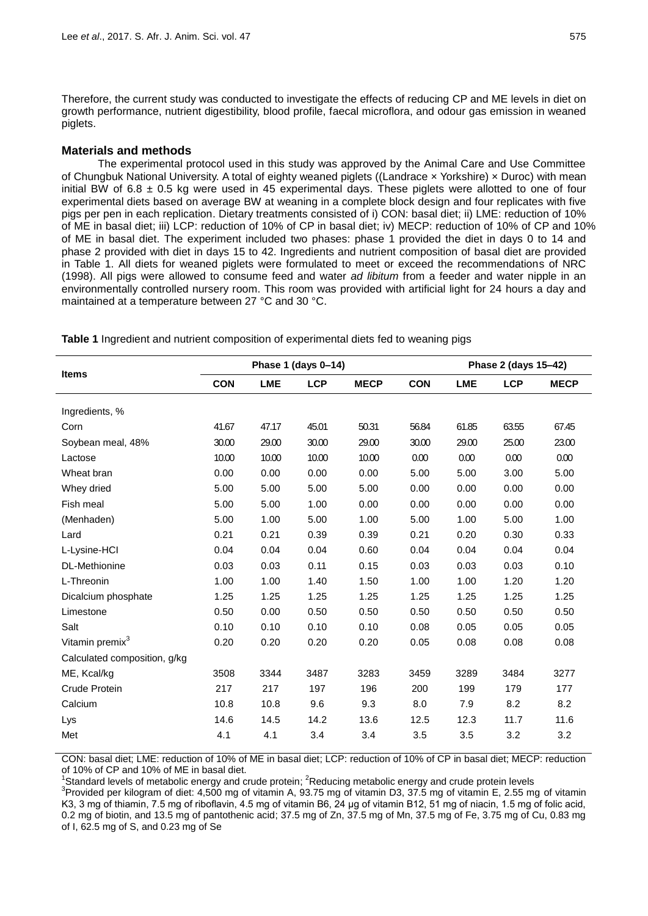Therefore, the current study was conducted to investigate the effects of reducing CP and ME levels in diet on growth performance, nutrient digestibility, blood profile, faecal microflora, and odour gas emission in weaned piglets.

# **Materials and methods**

The experimental protocol used in this study was approved by the Animal Care and Use Committee of Chungbuk National University. A total of eighty weaned piglets ((Landrace × Yorkshire) × Duroc) with mean initial BW of 6.8  $\pm$  0.5 kg were used in 45 experimental days. These piglets were allotted to one of four experimental diets based on average BW at weaning in a complete block design and four replicates with five pigs per pen in each replication. Dietary treatments consisted of i) CON: basal diet; ii) LME: reduction of 10% of ME in basal diet; iii) LCP: reduction of 10% of CP in basal diet; iv) MECP: reduction of 10% of CP and 10% of ME in basal diet. The experiment included two phases: phase 1 provided the diet in days 0 to 14 and phase 2 provided with diet in days 15 to 42. Ingredients and nutrient composition of basal diet are provided in Table 1. All diets for weaned piglets were formulated to meet or exceed the recommendations of NRC (1998). All pigs were allowed to consume feed and water *ad libitum* from a feeder and water nipple in an environmentally controlled nursery room. This room was provided with artificial light for 24 hours a day and maintained at a temperature between 27 °C and 30 °C.

|                              |            |            | Phase 1 (days 0-14) |             |            | Phase 2 (days 15-42) |            |             |  |
|------------------------------|------------|------------|---------------------|-------------|------------|----------------------|------------|-------------|--|
| <b>Items</b>                 | <b>CON</b> | <b>LME</b> | <b>LCP</b>          | <b>MECP</b> | <b>CON</b> | <b>LME</b>           | <b>LCP</b> | <b>MECP</b> |  |
| Ingredients, %               |            |            |                     |             |            |                      |            |             |  |
| Corn                         | 41.67      | 47.17      | 45.01               | 50.31       | 56.84      | 61.85                | 63.55      | 67.45       |  |
| Soybean meal, 48%            | 30.00      | 29.00      | 30.00               | 29.00       | 30.00      | 29.00                | 25.00      | 23.00       |  |
| Lactose                      | 10.00      | 10.00      | 10.00               | 10.00       | 0.00       | 0.00                 | 0.00       | 0.00        |  |
| Wheat bran                   | 0.00       | 0.00       | 0.00                | 0.00        | 5.00       | 5.00                 | 3.00       | 5.00        |  |
| Whey dried                   | 5.00       | 5.00       | 5.00                | 5.00        | 0.00       | 0.00                 | 0.00       | 0.00        |  |
| Fish meal                    | 5.00       | 5.00       | 1.00                | 0.00        | 0.00       | 0.00                 | 0.00       | 0.00        |  |
| (Menhaden)                   | 5.00       | 1.00       | 5.00                | 1.00        | 5.00       | 1.00                 | 5.00       | 1.00        |  |
| Lard                         | 0.21       | 0.21       | 0.39                | 0.39        | 0.21       | 0.20                 | 0.30       | 0.33        |  |
| L-Lysine-HCI                 | 0.04       | 0.04       | 0.04                | 0.60        | 0.04       | 0.04                 | 0.04       | 0.04        |  |
| <b>DL-Methionine</b>         | 0.03       | 0.03       | 0.11                | 0.15        | 0.03       | 0.03                 | 0.03       | 0.10        |  |
| L-Threonin                   | 1.00       | 1.00       | 1.40                | 1.50        | 1.00       | 1.00                 | 1.20       | 1.20        |  |
| Dicalcium phosphate          | 1.25       | 1.25       | 1.25                | 1.25        | 1.25       | 1.25                 | 1.25       | 1.25        |  |
| Limestone                    | 0.50       | 0.00       | 0.50                | 0.50        | 0.50       | 0.50                 | 0.50       | 0.50        |  |
| Salt                         | 0.10       | 0.10       | 0.10                | 0.10        | 0.08       | 0.05                 | 0.05       | 0.05        |  |
| Vitamin premix <sup>3</sup>  | 0.20       | 0.20       | 0.20                | 0.20        | 0.05       | 0.08                 | 0.08       | 0.08        |  |
| Calculated composition, g/kg |            |            |                     |             |            |                      |            |             |  |
| ME, Kcal/kg                  | 3508       | 3344       | 3487                | 3283        | 3459       | 3289                 | 3484       | 3277        |  |
| Crude Protein                | 217        | 217        | 197                 | 196         | 200        | 199                  | 179        | 177         |  |
| Calcium                      | 10.8       | 10.8       | 9.6                 | 9.3         | 8.0        | 7.9                  | 8.2        | 8.2         |  |
| Lys                          | 14.6       | 14.5       | 14.2                | 13.6        | 12.5       | 12.3                 | 11.7       | 11.6        |  |
| Met                          | 4.1        | 4.1        | 3.4                 | 3.4         | 3.5        | 3.5                  | 3.2        | 3.2         |  |

**Table 1** Ingredient and nutrient composition of experimental diets fed to weaning pigs

CON: basal diet; LME: reduction of 10% of ME in basal diet; LCP: reduction of 10% of CP in basal diet; MECP: reduction of 10% of CP and 10% of ME in basal diet.

1. To follow the metabolic energy and crude protein; <sup>2</sup>Reducing metabolic energy and crude protein levels and crude protein levels

<sup>3</sup>Provided per kilogram of diet: 4,500 mg of vitamin A, 93.75 mg of vitamin D3, 37.5 mg of vitamin E, 2.55 mg of vitamin K3, 3 mg of thiamin, 7.5 mg of riboflavin, 4.5 mg of vitamin B6, 24 μg of vitamin B12, 51 mg of niacin, 1.5 mg of folic acid, 0.2 mg of biotin, and 13.5 mg of pantothenic acid; 37.5 mg of Zn, 37.5 mg of Mn, 37.5 mg of Fe, 3.75 mg of Cu, 0.83 mg of I, 62.5 mg of S, and 0.23 mg of Se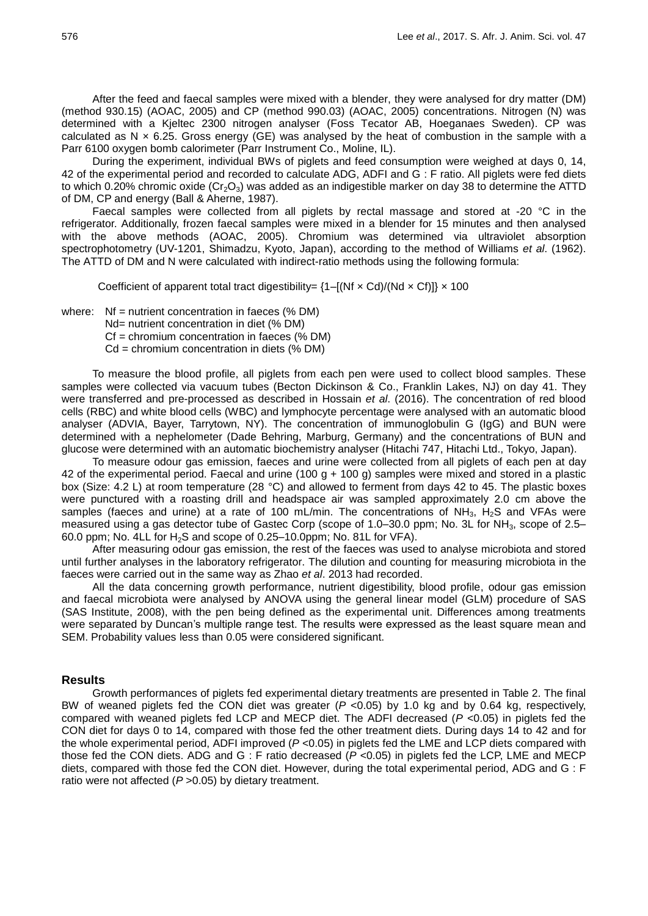After the feed and faecal samples were mixed with a blender, they were analysed for dry matter (DM) (method 930.15) (AOAC, 2005) and CP (method 990.03) (AOAC, 2005) concentrations. Nitrogen (N) was determined with a Kjeltec 2300 nitrogen analyser (Foss Tecator AB, Hoeganaes Sweden). CP was calculated as N  $\times$  6.25. Gross energy (GE) was analysed by the heat of combustion in the sample with a Parr 6100 oxygen bomb calorimeter (Parr Instrument Co., Moline, IL).

During the experiment, individual BWs of piglets and feed consumption were weighed at days 0, 14, 42 of the experimental period and recorded to calculate ADG, ADFI and G : F ratio. All piglets were fed diets to which 0.20% chromic oxide ( $Cr_2O_3$ ) was added as an indigestible marker on day 38 to determine the ATTD of DM, CP and energy (Ball & Aherne, 1987).

Faecal samples were collected from all piglets by rectal massage and stored at -20 °C in the refrigerator. Additionally, frozen faecal samples were mixed in a blender for 15 minutes and then analysed with the above methods (AOAC, 2005). Chromium was determined via ultraviolet absorption spectrophotometry (UV-1201, Shimadzu, Kyoto, Japan), according to the method of Williams *et al*. (1962). The ATTD of DM and N were calculated with indirect-ratio methods using the following formula:

Coefficient of apparent total tract digestibility=  $\{1-[Nf \times Cd)/(Nd \times Cf)]\}\times 100$ 

where: Nf = nutrient concentration in faeces (% DM)

Nd= nutrient concentration in diet (% DM)

Cf = chromium concentration in faeces (% DM)

 $Cd =$  chromium concentration in diets (% DM)

To measure the blood profile, all piglets from each pen were used to collect blood samples. These samples were collected via vacuum tubes (Becton Dickinson & Co., Franklin Lakes, NJ) on day 41. They were transferred and pre-processed as described in Hossain *et al*. (2016). The concentration of red blood cells (RBC) and white blood cells (WBC) and lymphocyte percentage were analysed with an automatic blood analyser (ADVIA, Bayer, Tarrytown, NY). The concentration of immunoglobulin G (IgG) and BUN were determined with a nephelometer (Dade Behring, Marburg, Germany) and the concentrations of BUN and glucose were determined with an automatic biochemistry analyser (Hitachi 747, Hitachi Ltd., Tokyo, Japan).

To measure odour gas emission, faeces and urine were collected from all piglets of each pen at day 42 of the experimental period. Faecal and urine (100 g + 100 g) samples were mixed and stored in a plastic box (Size: 4.2 L) at room temperature (28 °C) and allowed to ferment from days 42 to 45. The plastic boxes were punctured with a roasting drill and headspace air was sampled approximately 2.0 cm above the samples (faeces and urine) at a rate of 100 mL/min. The concentrations of NH<sub>3</sub>, H<sub>2</sub>S and VFAs were measured using a gas detector tube of Gastec Corp (scope of 1.0–30.0 ppm; No. 3L for NH<sub>3</sub>, scope of 2.5– 60.0 ppm; No. 4LL for  $H_2S$  and scope of 0.25–10.0ppm; No. 81L for VFA).

After measuring odour gas emission, the rest of the faeces was used to analyse microbiota and stored until further analyses in the laboratory refrigerator. The dilution and counting for measuring microbiota in the faeces were carried out in the same way as Zhao *et al*. 2013 had recorded.

All the data concerning growth performance, nutrient digestibility, blood profile, odour gas emission and faecal microbiota were analysed by ANOVA using the general linear model (GLM) procedure of SAS (SAS Institute, 2008), with the pen being defined as the experimental unit. Differences among treatments were separated by Duncan's multiple range test. The results were expressed as the least square mean and SEM. Probability values less than 0.05 were considered significant.

# **Results**

Growth performances of piglets fed experimental dietary treatments are presented in Table 2. The final BW of weaned piglets fed the CON diet was greater (*P* <0.05) by 1.0 kg and by 0.64 kg, respectively, compared with weaned piglets fed LCP and MECP diet. The ADFI decreased (*P* <0.05) in piglets fed the CON diet for days 0 to 14, compared with those fed the other treatment diets. During days 14 to 42 and for the whole experimental period, ADFI improved (*P* <0.05) in piglets fed the LME and LCP diets compared with those fed the CON diets. ADG and G : F ratio decreased (*P* <0.05) in piglets fed the LCP, LME and MECP diets, compared with those fed the CON diet. However, during the total experimental period, ADG and G : F ratio were not affected (*P* >0.05) by dietary treatment.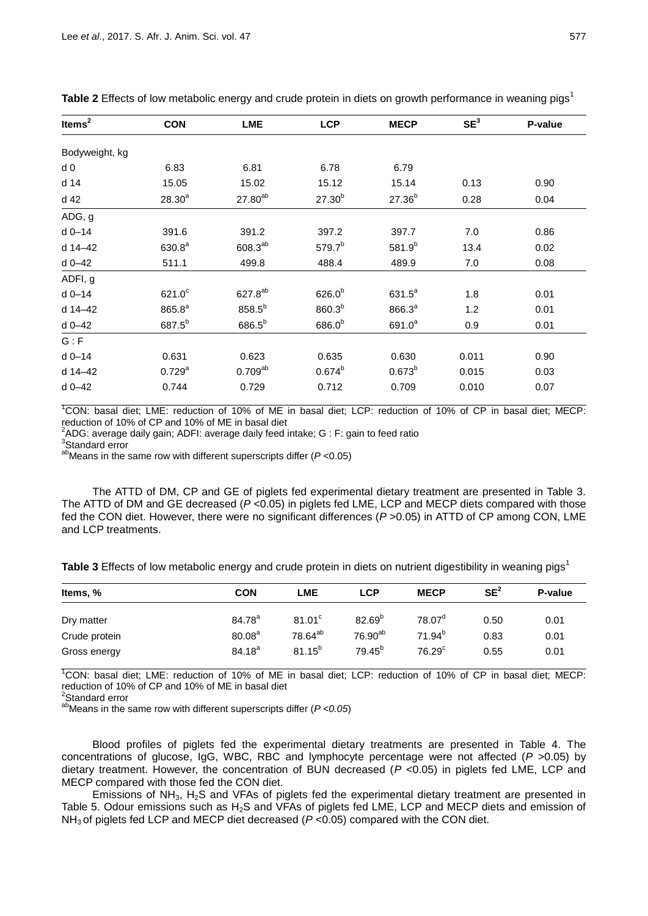| Items $2$      | <b>CON</b>         | <b>LME</b>          | <b>LCP</b>         | <b>MECP</b>        | SE <sup>3</sup> | P-value |
|----------------|--------------------|---------------------|--------------------|--------------------|-----------------|---------|
| Bodyweight, kg |                    |                     |                    |                    |                 |         |
| d <sub>0</sub> | 6.83               | 6.81                | 6.78               | 6.79               |                 |         |
| d 14           | 15.05              | 15.02               | 15.12              | 15.14              | 0.13            | 0.90    |
| d 42           | $28.30^{a}$        | $27.80^{ab}$        | $27.30^{b}$        | $27.36^{b}$        | 0.28            | 0.04    |
| ADG, g         |                    |                     |                    |                    |                 |         |
| $d$ 0-14       | 391.6              | 391.2               | 397.2              | 397.7              | 7.0             | 0.86    |
| d 14-42        | 630.8 <sup>a</sup> | $608.3^{ab}$        | 579.7 <sup>b</sup> | $581.9^{b}$        | 13.4            | 0.02    |
| d 0-42         | 511.1              | 499.8               | 488.4              | 489.9              | 7.0             | 0.08    |
| ADFI, g        |                    |                     |                    |                    |                 |         |
| $d$ 0-14       | $621.0^c$          | 627.8 <sup>ab</sup> | $626.0^{b}$        | $631.5^a$          | 1.8             | 0.01    |
| d 14-42        | $865.8^{a}$        | $858.5^{b}$         | $860.3^{b}$        | 866.3 <sup>a</sup> | 1.2             | 0.01    |
| $d$ 0-42       | 687.5 <sup>b</sup> | $686.5^{b}$         | $686.0^{b}$        | $691.0^a$          | 0.9             | 0.01    |
| G : F          |                    |                     |                    |                    |                 |         |
| $d$ 0-14       | 0.631              | 0.623               | 0.635              | 0.630              | 0.011           | 0.90    |
| d 14-42        | $0.729^{a}$        | $0.709^{ab}$        | $0.674^{b}$        | $0.673^{b}$        | 0.015           | 0.03    |
| $d$ 0-42       | 0.744              | 0.729               | 0.712              | 0.709              | 0.010           | 0.07    |

**Table 2** Effects of low metabolic energy and crude protein in diets on growth performance in weaning pigs<sup>1</sup>

<sup>1</sup>CON: basal diet; LME: reduction of 10% of ME in basal diet; LCP: reduction of 10% of CP in basal diet; MECP: reduction of 10% of CP and 10% of ME in basal diet

 $2$ ADG: average daily gain; ADFI: average daily feed intake; G : F: gain to feed ratio

3 Standard error

abMeans in the same row with different superscripts differ (*P* <0.05)

The ATTD of DM, CP and GE of piglets fed experimental dietary treatment are presented in Table 3. The ATTD of DM and GE decreased (*P* <0.05) in piglets fed LME, LCP and MECP diets compared with those fed the CON diet. However, there were no significant differences ( $P > 0.05$ ) in ATTD of CP among CON, LME and LCP treatments.

**Table 3** Effects of low metabolic energy and crude protein in diets on nutrient digestibility in weaning pigs<sup>1</sup>

| Items, %      | <b>CON</b>         | LME                 | <b>LCP</b>          | <b>MECP</b>        | SE <sup>2</sup> | P-value |
|---------------|--------------------|---------------------|---------------------|--------------------|-----------------|---------|
| Dry matter    | $84.78^{a}$        | 81.01 <sup>c</sup>  | $82.69^{b}$         | $78.07^{\circ}$    | 0.50            | 0.01    |
| Crude protein | 80.08 <sup>a</sup> | 78.64 <sup>ab</sup> | 76.90 <sup>ab</sup> | $71.94^{b}$        | 0.83            | 0.01    |
| Gross energy  | $84.18^{a}$        | $81.15^{b}$         | $79.45^{b}$         | 76.29 <sup>c</sup> | 0.55            | 0.01    |

<sup>1</sup>CON: basal diet; LME: reduction of 10% of ME in basal diet; LCP: reduction of 10% of CP in basal diet; MECP: reduction of 10% of CP and 10% of ME in basal diet

<sup>2</sup>Standard error

abMeans in the same row with different superscripts differ (*P <0.05*)

Blood profiles of piglets fed the experimental dietary treatments are presented in Table 4. The concentrations of glucose, IgG, WBC, RBC and lymphocyte percentage were not affected (*P* >0.05) by dietary treatment. However, the concentration of BUN decreased (*P* <0.05) in piglets fed LME, LCP and MECP compared with those fed the CON diet.

Emissions of NH<sub>3</sub>, H<sub>2</sub>S and VFAs of piglets fed the experimental dietary treatment are presented in Table 5. Odour emissions such as H<sub>2</sub>S and VFAs of piglets fed LME, LCP and MECP diets and emission of NH<sub>3</sub> of piglets fed LCP and MECP diet decreased ( $P < 0.05$ ) compared with the CON diet.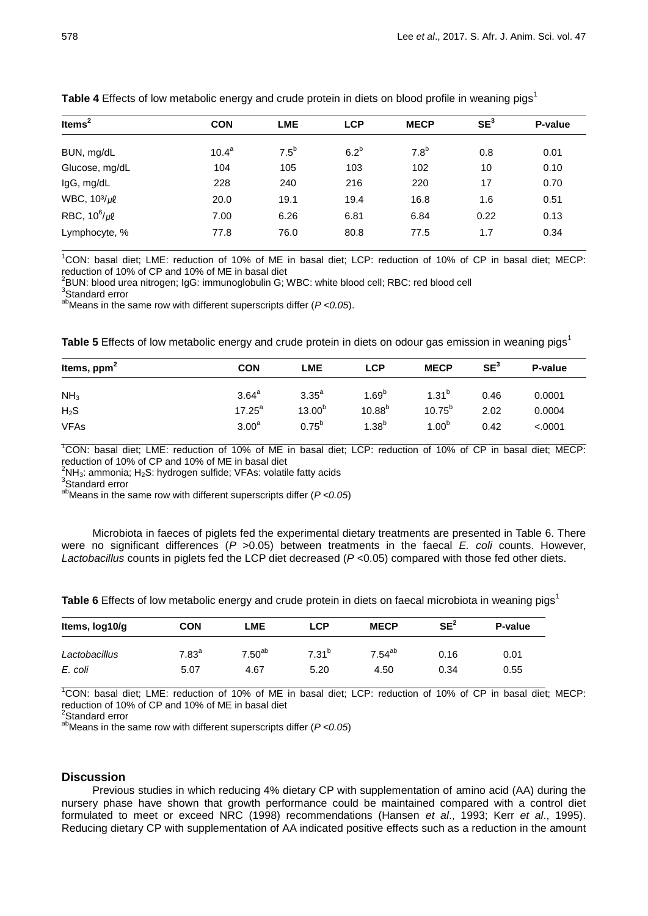| Items $2$             | <b>CON</b>        | <b>LME</b> | <b>LCP</b> | <b>MECP</b>      | SE <sup>3</sup> | P-value |
|-----------------------|-------------------|------------|------------|------------------|-----------------|---------|
| BUN, mg/dL            | 10.4 <sup>a</sup> | $7.5^b$    | $6.2^b$    | 7.8 <sup>b</sup> | 0.8             | 0.01    |
| Glucose, mg/dL        | 104               | 105        | 103        | 102              | 10              | 0.10    |
| IgG, mg/dL            | 228               | 240        | 216        | 220              | 17              | 0.70    |
| WBC, $10^{3}/\mu\ell$ | 20.0              | 19.1       | 19.4       | 16.8             | 1.6             | 0.51    |
| RBC, $10^6/\mu\ell$   | 7.00              | 6.26       | 6.81       | 6.84             | 0.22            | 0.13    |
| Lymphocyte, %         | 77.8              | 76.0       | 80.8       | 77.5             | 1.7             | 0.34    |

**Table 4** Effects of low metabolic energy and crude protein in diets on blood profile in weaning pigs<sup>1</sup>

<sup>1</sup>CON: basal diet; LME: reduction of 10% of ME in basal diet; LCP: reduction of 10% of CP in basal diet; MECP: reduction of 10% of CP and 10% of ME in basal diet

 $^2$ BUN: blood urea nitrogen; IgG: immunoglobulin G; WBC: white blood cell; RBC: red blood cell

<sup>3</sup>Standard error

abMeans in the same row with different superscripts differ (*P <0.05*).

**Table 5** Effects of low metabolic energy and crude protein in diets on odour gas emission in weaning pigs<sup>1</sup>

| Items, $ppm2$    | <b>CON</b>        | LME               | <b>LCP</b>  | <b>MECP</b>       | SE <sup>3</sup> | P-value |
|------------------|-------------------|-------------------|-------------|-------------------|-----------------|---------|
| NH <sub>3</sub>  | 3.64 <sup>a</sup> | 3.35 <sup>a</sup> | $1.69^{b}$  | $1.31^{b}$        | 0.46            | 0.0001  |
| H <sub>2</sub> S | $17.25^{\circ}$   | $13.00^{b}$       | $10.88^{b}$ | $10.75^{b}$       | 2.02            | 0.0004  |
| <b>VFAs</b>      | 3.00 <sup>a</sup> | $0.75^{b}$        | $1.38^{b}$  | 1.00 <sup>b</sup> | 0.42            | < .0001 |

<sup>1</sup>CON: basal diet; LME: reduction of 10% of ME in basal diet; LCP: reduction of 10% of CP in basal diet; MECP: reduction of 10% of CP and 10% of ME in basal diet

 $2$ NH<sub>3</sub>: ammonia; H<sub>2</sub>S: hydrogen sulfide; VFAs: volatile fatty acids

3 Standard error

abMeans in the same row with different superscripts differ (*P <0.05*)

Microbiota in faeces of piglets fed the experimental dietary treatments are presented in Table 6. There were no significant differences ( $P > 0.05$ ) between treatments in the faecal *E. coli* counts. However, *Lactobacillus* counts in piglets fed the LCP diet decreased ( $P < 0.05$ ) compared with those fed other diets.

Table 6 Effects of low metabolic energy and crude protein in diets on faecal microbiota in weaning pigs<sup>1</sup>

| Items, log10/g | <b>CON</b>        | LME         | <b>LCP</b> | <b>MECP</b> | SE <sup>2</sup> | P-value |
|----------------|-------------------|-------------|------------|-------------|-----------------|---------|
| Lactobacillus  | 7.83 <sup>a</sup> | $7.50^{ab}$ | $7.31^{b}$ | $7.54^{ab}$ | 0.16            | 0.01    |
| E. coli        | 5.07              | 4.67        | 5.20       | 4.50        | 0.34            | 0.55    |

<sup>1</sup>CON: basal diet; LME: reduction of 10% of ME in basal diet; LCP: reduction of 10% of CP in basal diet; MECP: reduction of 10% of CP and 10% of ME in basal diet

<sup>2</sup>Standard error

abMeans in the same row with different superscripts differ (*P <0.05*)

## **Discussion**

Previous studies in which reducing 4% dietary CP with supplementation of amino acid (AA) during the nursery phase have shown that growth performance could be maintained compared with a control diet formulated to meet or exceed NRC (1998) recommendations (Hansen *et al*., 1993; Kerr *et al*., 1995). Reducing dietary CP with supplementation of AA indicated positive effects such as a reduction in the amount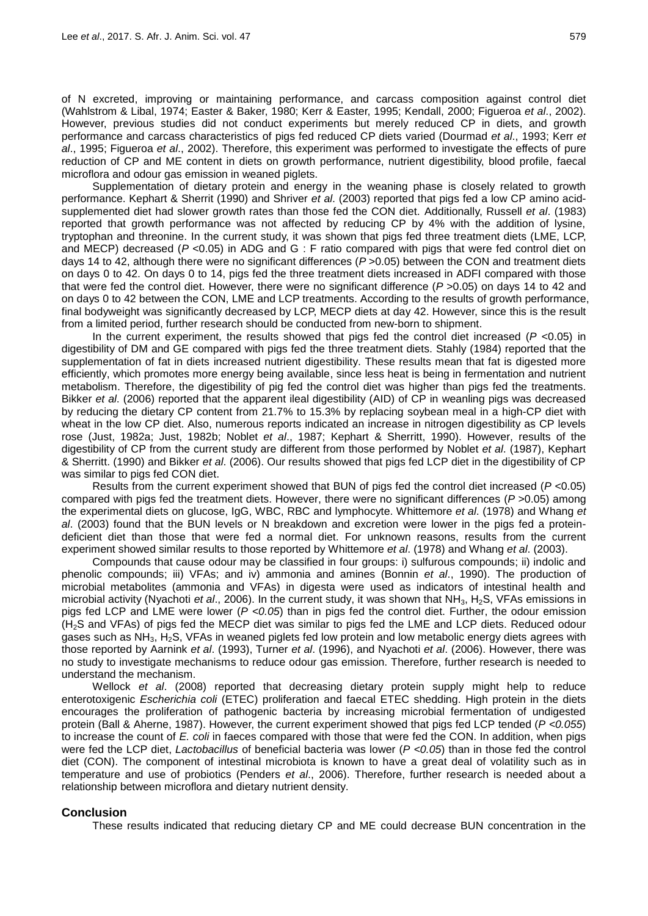of N excreted, improving or maintaining performance, and carcass composition against control diet (Wahlstrom & Libal, 1974; Easter & Baker, 1980; Kerr & Easter, 1995; Kendall, 2000; Figueroa *et al*., 2002). However, previous studies did not conduct experiments but merely reduced CP in diets, and growth performance and carcass characteristics of pigs fed reduced CP diets varied (Dourmad *et al*., 1993; Kerr *et al*., 1995; Figueroa *et al*., 2002). Therefore, this experiment was performed to investigate the effects of pure reduction of CP and ME content in diets on growth performance, nutrient digestibility, blood profile, faecal microflora and odour gas emission in weaned piglets.

Supplementation of dietary protein and energy in the weaning phase is closely related to growth performance. Kephart & Sherrit (1990) and Shriver *et al*. (2003) reported that pigs fed a low CP amino acidsupplemented diet had slower growth rates than those fed the CON diet. Additionally, Russell *et al*. (1983) reported that growth performance was not affected by reducing CP by 4% with the addition of lysine, tryptophan and threonine. In the current study, it was shown that pigs fed three treatment diets (LME, LCP, and MECP) decreased (*P* <0.05) in ADG and G : F ratio compared with pigs that were fed control diet on days 14 to 42, although there were no significant differences (*P* >0.05) between the CON and treatment diets on days 0 to 42. On days 0 to 14, pigs fed the three treatment diets increased in ADFI compared with those that were fed the control diet. However, there were no significant difference (*P* >0.05) on days 14 to 42 and on days 0 to 42 between the CON, LME and LCP treatments. According to the results of growth performance, final bodyweight was significantly decreased by LCP, MECP diets at day 42. However, since this is the result from a limited period, further research should be conducted from new-born to shipment.

In the current experiment, the results showed that pigs fed the control diet increased (*P* <0.05) in digestibility of DM and GE compared with pigs fed the three treatment diets. Stahly (1984) reported that the supplementation of fat in diets increased nutrient digestibility. These results mean that fat is digested more efficiently, which promotes more energy being available, since less heat is being in fermentation and nutrient metabolism. Therefore, the digestibility of pig fed the control diet was higher than pigs fed the treatments. Bikker *et al*. (2006) reported that the apparent ileal digestibility (AID) of CP in weanling pigs was decreased by reducing the dietary CP content from 21.7% to 15.3% by replacing soybean meal in a high-CP diet with wheat in the low CP diet. Also, numerous reports indicated an increase in nitrogen digestibility as CP levels rose (Just, 1982a; Just, 1982b; Noblet *et al*., 1987; Kephart & Sherritt, 1990). However, results of the digestibility of CP from the current study are different from those performed by Noblet *et al*. (1987), Kephart & Sherritt. (1990) and Bikker *et al*. (2006). Our results showed that pigs fed LCP diet in the digestibility of CP was similar to pigs fed CON diet.

Results from the current experiment showed that BUN of pigs fed the control diet increased (*P* <0.05) compared with pigs fed the treatment diets. However, there were no significant differences (*P* >0.05) among the experimental diets on glucose, IgG, WBC, RBC and lymphocyte. Whittemore *et al*. (1978) and Whang *et al*. (2003) found that the BUN levels or N breakdown and excretion were lower in the pigs fed a proteindeficient diet than those that were fed a normal diet. For unknown reasons, results from the current experiment showed similar results to those reported by Whittemore *et al*. (1978) and Whang *et al*. (2003).

Compounds that cause odour may be classified in four groups: i) sulfurous compounds; ii) indolic and phenolic compounds; iii) VFAs; and iv) ammonia and amines (Bonnin *et al*., 1990). The production of microbial metabolites (ammonia and VFAs) in digesta were used as indicators of intestinal health and microbial activity (Nyachoti *et al.*, 2006). In the current study, it was shown that NH<sub>3</sub>, H<sub>2</sub>S, VFAs emissions in pigs fed LCP and LME were lower (*P <0.05*) than in pigs fed the control diet. Further, the odour emission (H2S and VFAs) of pigs fed the MECP diet was similar to pigs fed the LME and LCP diets. Reduced odour gases such as NH3, H2S, VFAs in weaned piglets fed low protein and low metabolic energy diets agrees with those reported by Aarnink *et al*. (1993), Turner *et al*. (1996), and Nyachoti *et al*. (2006). However, there was no study to investigate mechanisms to reduce odour gas emission. Therefore, further research is needed to understand the mechanism.

Wellock *et al*. (2008) reported that decreasing dietary protein supply might help to reduce enterotoxigenic *Escherichia coli* (ETEC) proliferation and faecal ETEC shedding. High protein in the diets encourages the proliferation of pathogenic bacteria by increasing microbial fermentation of undigested protein (Ball & Aherne, 1987). However, the current experiment showed that pigs fed LCP tended (*P <0.055*) to increase the count of *E. coli* in faeces compared with those that were fed the CON. In addition, when pigs were fed the LCP diet, *Lactobacillus* of beneficial bacteria was lower (*P <0.05*) than in those fed the control diet (CON). The component of intestinal microbiota is known to have a great deal of volatility such as in temperature and use of probiotics (Penders *et al*., 2006). Therefore, further research is needed about a relationship between microflora and dietary nutrient density.

## **Conclusion**

These results indicated that reducing dietary CP and ME could decrease BUN concentration in the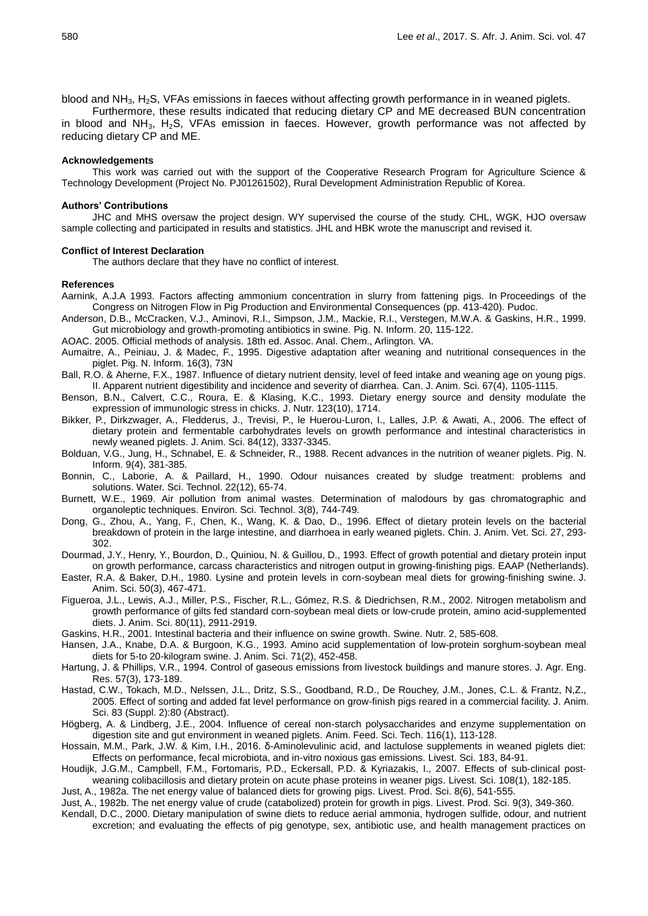blood and NH<sub>3</sub>, H<sub>2</sub>S, VFAs emissions in faeces without affecting growth performance in in weaned piglets.

Furthermore, these results indicated that reducing dietary CP and ME decreased BUN concentration in blood and NH<sub>3</sub>, H<sub>2</sub>S, VFAs emission in faeces. However, growth performance was not affected by reducing dietary CP and ME.

#### **Acknowledgements**

This work was carried out with the support of the Cooperative Research Program for Agriculture Science & Technology Development (Project No. PJ01261502), Rural Development Administration Republic of Korea.

#### **Authors' Contributions**

JHC and MHS oversaw the project design. WY supervised the course of the study. CHL, WGK, HJO oversaw sample collecting and participated in results and statistics. JHL and HBK wrote the manuscript and revised it.

#### **Conflict of Interest Declaration**

The authors declare that they have no conflict of interest.

### **References**

- Aarnink, A.J.A 1993. Factors affecting ammonium concentration in slurry from fattening pigs. In Proceedings of the Congress on Nitrogen Flow in Pig Production and Environmental Consequences (pp. 413-420). Pudoc.
- Anderson, D.B., McCracken, V.J., Aminovi, R.I., Simpson, J.M., Mackie, R.I., Verstegen, M.W.A. & Gaskins, H.R., 1999. Gut microbiology and growth-promoting antibiotics in swine. Pig. N. Inform. 20, 115-122.

AOAC. 2005. Official methods of analysis. 18th ed. Assoc. Anal. Chem., Arlington. VA.

- Aumaitre, A., Peiniau, J. & Madec, F., 1995. Digestive adaptation after weaning and nutritional consequences in the piglet. Pig. N. Inform. 16(3), 73N
- Ball, R.O. & Aherne, F.X., 1987. Influence of dietary nutrient density, level of feed intake and weaning age on young pigs. II. Apparent nutrient digestibility and incidence and severity of diarrhea. Can. J. Anim. Sci. 67(4), 1105-1115.
- Benson, B.N., Calvert, C.C., Roura, E. & Klasing, K.C., 1993. Dietary energy source and density modulate the expression of immunologic stress in chicks. J. Nutr. 123(10), 1714.
- Bikker, P., Dirkzwager, A., Fledderus, J., Trevisi, P., le Huerou-Luron, I., Lalles, J.P. & Awati, A., 2006. The effect of dietary protein and fermentable carbohydrates levels on growth performance and intestinal characteristics in newly weaned piglets. J. Anim. Sci. 84(12), 3337-3345.
- Bolduan, V.G., Jung, H., Schnabel, E. & Schneider, R., 1988. Recent advances in the nutrition of weaner piglets. Pig. N. Inform. 9(4), 381-385.
- Bonnin, C., Laborie, A. & Paillard, H., 1990. Odour nuisances created by sludge treatment: problems and solutions. Water. Sci. Technol. 22(12), 65-74.
- Burnett, W.E., 1969. Air pollution from animal wastes. Determination of malodours by gas chromatographic and organoleptic techniques. Environ. Sci. Technol. 3(8), 744-749.
- Dong, G., Zhou, A., Yang, F., Chen, K., Wang, K. & Dao, D., 1996. Effect of dietary protein levels on the bacterial breakdown of protein in the large intestine, and diarrhoea in early weaned piglets. Chin. J. Anim. Vet. Sci. 27, 293- 302.
- Dourmad, J.Y., Henry, Y., Bourdon, D., Quiniou, N. & Guillou, D., 1993. Effect of growth potential and dietary protein input on growth performance, carcass characteristics and nitrogen output in growing-finishing pigs. EAAP (Netherlands).
- Easter, R.A. & Baker, D.H., 1980. Lysine and protein levels in corn-soybean meal diets for growing-finishing swine. J. Anim. Sci. 50(3), 467-471.
- Figueroa, J.L., Lewis, A.J., Miller, P.S., Fischer, R.L., Gómez, R.S. & Diedrichsen, R.M., 2002. Nitrogen metabolism and growth performance of gilts fed standard corn-soybean meal diets or low-crude protein, amino acid-supplemented diets. J. Anim. Sci. 80(11), 2911-2919.
- Gaskins, H.R., 2001. Intestinal bacteria and their influence on swine growth. Swine. Nutr. 2, 585-608.
- Hansen, J.A., Knabe, D.A. & Burgoon, K.G., 1993. Amino acid supplementation of low-protein sorghum-soybean meal diets for 5-to 20-kilogram swine. J. Anim. Sci. 71(2), 452-458.
- Hartung, J. & Phillips, V.R., 1994. Control of gaseous emissions from livestock buildings and manure stores. J. Agr. Eng. Res. 57(3), 173-189.
- Hastad, C.W., Tokach, M.D., Nelssen, J.L., Dritz, S.S., Goodband, R.D., De Rouchey, J.M., Jones, C.L. & Frantz, N,Z., 2005. Effect of sorting and added fat level performance on grow-finish pigs reared in a commercial facility. J. Anim. Sci. 83 (Suppl. 2):80 (Abstract).
- Högberg, A. & Lindberg, J.E., 2004. Influence of cereal non-starch polysaccharides and enzyme supplementation on digestion site and gut environment in weaned piglets. Anim. Feed. Sci. Tech. 116(1), 113-128.
- Hossain, M.M., Park, J.W. & Kim, I.H., 2016. δ-Aminolevulinic acid, and lactulose supplements in weaned piglets diet: Effects on performance, fecal microbiota, and in-vitro noxious gas emissions. Livest. Sci. 183, 84-91.
- Houdijk, J.G.M., Campbell, F.M., Fortomaris, P.D., Eckersall, P.D. & Kyriazakis, I., 2007. Effects of sub‐clinical post‐ weaning colibacillosis and dietary protein on acute phase proteins in weaner pigs. Livest. Sci. 108(1), 182-185.
- Just, A., 1982a. The net energy value of balanced diets for growing pigs. Livest. Prod. Sci. 8(6), 541-555.
- Just, A., 1982b. The net energy value of crude (catabolized) protein for growth in pigs. Livest. Prod. Sci. 9(3), 349-360.
- Kendall, D.C., 2000. Dietary manipulation of swine diets to reduce aerial ammonia, hydrogen sulfide, odour, and nutrient excretion; and evaluating the effects of pig genotype, sex, antibiotic use, and health management practices on